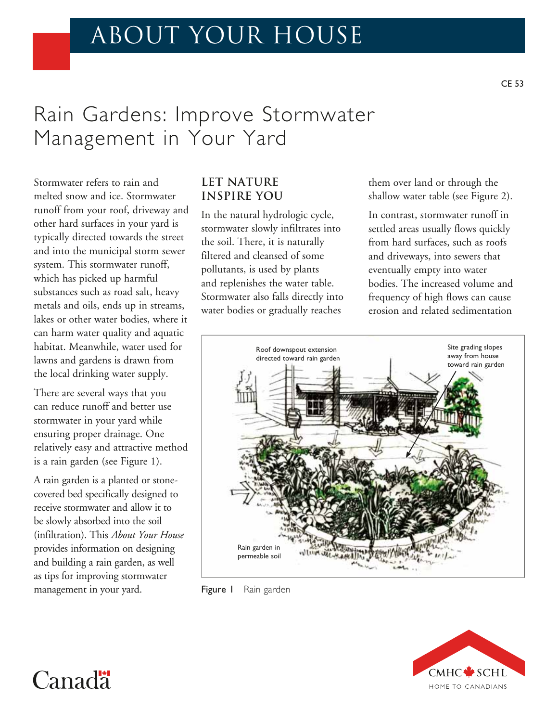# ABOUT YOUR HOUSE

# Rain Gardens: Improve Stormwater Management in Your Yard

Stormwater refers to rain and melted snow and ice. Stormwater runoff from your roof, driveway and other hard surfaces in your yard is typically directed towards the street and into the municipal storm sewer system. This stormwater runoff, which has picked up harmful substances such as road salt, heavy metals and oils, ends up in streams, lakes or other water bodies, where it can harm water quality and aquatic habitat. Meanwhile, water used for lawns and gardens is drawn from the local drinking water supply.

There are several ways that you can reduce runoff and better use stormwater in your yard while ensuring proper drainage. One relatively easy and attractive method is a rain garden (see Figure 1).

A rain garden is a planted or stonecovered bed specifically designed to receive stormwater and allow it to be slowly absorbed into the soil (infiltration). This *About Your House* provides information on designing and building a rain garden, as well as tips for improving stormwater management in your yard.

Canad<sup>"</sup>

## **LET NATURE INSPIRE YOU**

In the natural hydrologic cycle, stormwater slowly infiltrates into the soil. There, it is naturally filtered and cleansed of some pollutants, is used by plants and replenishes the water table. Stormwater also falls directly into water bodies or gradually reaches

them over land or through the shallow water table (see Figure 2).

In contrast, stormwater runoff in settled areas usually flows quickly from hard surfaces, such as roofs and driveways, into sewers that eventually empty into water bodies. The increased volume and frequency of high flows can cause erosion and related sedimentation



Figure I Rain garden

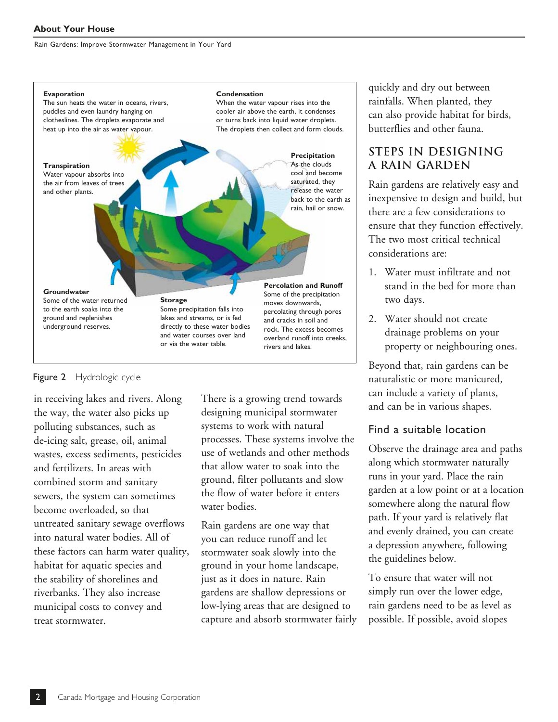

#### Figure 2 Hydrologic cycle

in receiving lakes and rivers. Along the way, the water also picks up polluting substances, such as de-icing salt, grease, oil, animal wastes, excess sediments, pesticides and fertilizers. In areas with combined storm and sanitary sewers, the system can sometimes become overloaded, so that untreated sanitary sewage overflows into natural water bodies. All of these factors can harm water quality, habitat for aquatic species and the stability of shorelines and riverbanks. They also increase municipal costs to convey and treat stormwater.

There is a growing trend towards designing municipal stormwater systems to work with natural processes. These systems involve the use of wetlands and other methods that allow water to soak into the ground, filter pollutants and slow the flow of water before it enters water bodies.

Rain gardens are one way that you can reduce runoff and let stormwater soak slowly into the ground in your home landscape, just as it does in nature. Rain gardens are shallow depressions or low-lying areas that are designed to capture and absorb stormwater fairly quickly and dry out between rainfalls. When planted, they can also provide habitat for birds, butterflies and other fauna.

# **STEPS IN DESIGNING A RAIN GARDEN**

Rain gardens are relatively easy and inexpensive to design and build, but there are a few considerations to ensure that they function effectively. The two most critical technical considerations are:

- 1. Water must infiltrate and not stand in the bed for more than two days.
- 2. Water should not create drainage problems on your property or neighbouring ones.

Beyond that, rain gardens can be naturalistic or more manicured, can include a variety of plants, and can be in various shapes.

## Find a suitable location

Observe the drainage area and paths along which stormwater naturally runs in your yard. Place the rain garden at a low point or at a location somewhere along the natural flow path. If your yard is relatively flat and evenly drained, you can create a depression anywhere, following the guidelines below.

To ensure that water will not simply run over the lower edge, rain gardens need to be as level as possible. If possible, avoid slopes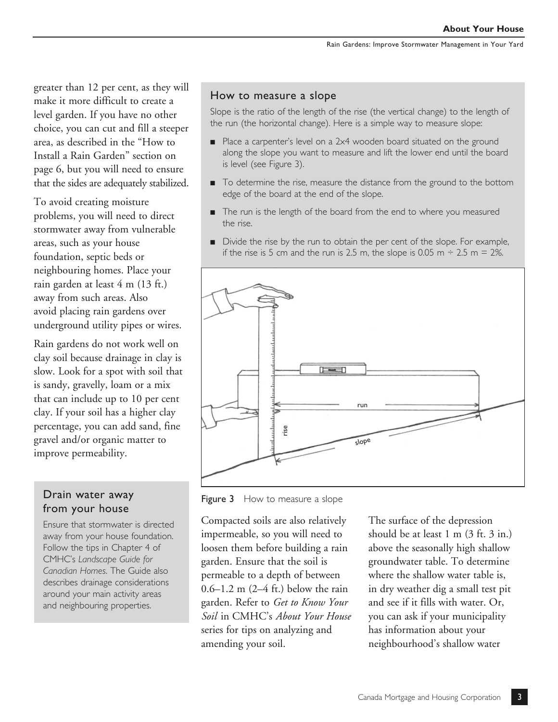greater than 12 per cent, as they will make it more difficult to create a level garden. If you have no other choice, you can cut and fill a steeper area, as described in the "How to Install a Rain Garden" section on page 6, but you will need to ensure that the sides are adequately stabilized.

To avoid creating moisture problems, you will need to direct stormwater away from vulnerable areas, such as your house foundation, septic beds or neighbouring homes. Place your rain garden at least 4 m (13 ft.) away from such areas. Also avoid placing rain gardens over underground utility pipes or wires.

Rain gardens do not work well on clay soil because drainage in clay is slow. Look for a spot with soil that is sandy, gravelly, loam or a mix that can include up to 10 per cent clay. If your soil has a higher clay percentage, you can add sand, fine gravel and/or organic matter to improve permeability.

# from your house

Ensure that stormwater is directed away from your house foundation. Follow the tips in Chapter 4 of CMHC's *Landscape Guide for Canadian Homes*. The Guide also describes drainage considerations around your main activity areas and neighbouring properties.

#### How to measure a slope

Slope is the ratio of the length of the rise (the vertical change) to the length of the run (the horizontal change). Here is a simple way to measure slope:

- Place a carpenter's level on a 2x4 wooden board situated on the ground along the slope you want to measure and lift the lower end until the board is level (see Figure 3).
- To determine the rise, measure the distance from the ground to the bottom edge of the board at the end of the slope.
- The run is the length of the board from the end to where you measured the rise.
- Divide the rise by the run to obtain the per cent of the slope. For example, if the rise is 5 cm and the run is 2.5 m, the slope is 0.05 m  $\div$  2.5 m = 2%.



**Drain water away** Figure 3 How to measure a slope

Compacted soils are also relatively impermeable, so you will need to loosen them before building a rain garden. Ensure that the soil is permeable to a depth of between 0.6–1.2 m (2–4 ft.) below the rain garden. Refer to *Get to Know Your Soil* in CMHC's *About Your House*  series for tips on analyzing and amending your soil.

The surface of the depression should be at least 1 m (3 ft. 3 in.) above the seasonally high shallow groundwater table. To determine where the shallow water table is, in dry weather dig a small test pit and see if it fills with water. Or, you can ask if your municipality has information about your neighbourhood's shallow water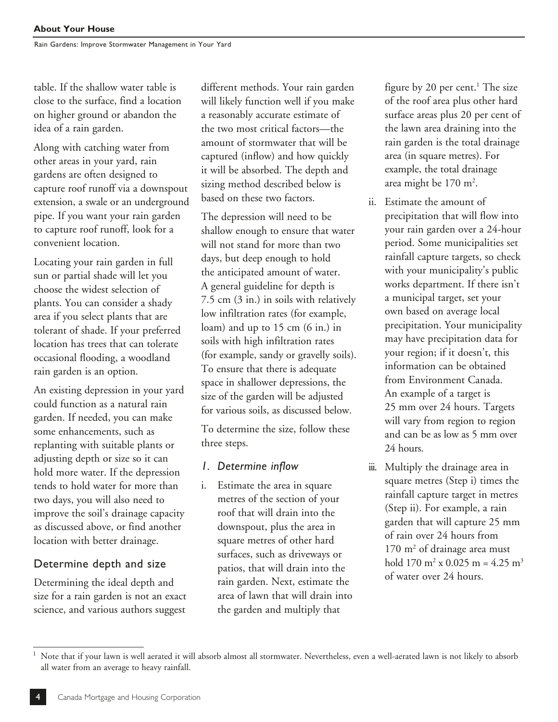table. If the shallow water table is close to the surface, find a location on higher ground or abandon the idea of a rain garden.

Along with catching water from other areas in your yard, rain gardens are often designed to capture roof runoff via a downspout extension, a swale or an underground pipe. If you want your rain garden to capture roof runoff, look for a convenient location.

Locating your rain garden in full sun or partial shade will let you choose the widest selection of plants. You can consider a shady area if you select plants that are tolerant of shade. If your preferred location has trees that can tolerate occasional flooding, a woodland rain garden is an option.

An existing depression in your yard could function as a natural rain garden. If needed, you can make some enhancements, such as replanting with suitable plants or adjusting depth or size so it can hold more water. If the depression tends to hold water for more than two days, you will also need to improve the soil's drainage capacity as discussed above, or find another location with better drainage.

## Determine depth and size

Determining the ideal depth and size for a rain garden is not an exact science, and various authors suggest

different methods. Your rain garden will likely function well if you make a reasonably accurate estimate of the two most critical factors—the amount of stormwater that will be captured (inflow) and how quickly it will be absorbed. The depth and sizing method described below is based on these two factors.

The depression will need to be shallow enough to ensure that water will not stand for more than two days, but deep enough to hold the anticipated amount of water. A general guideline for depth is 7.5 cm (3 in.) in soils with relatively low infiltration rates (for example, loam) and up to 15 cm (6 in.) in soils with high infiltration rates (for example, sandy or gravelly soils). To ensure that there is adequate space in shallower depressions, the size of the garden will be adjusted for various soils, as discussed below.

To determine the size, follow these three steps.

- *1. Determine inflow*
- i. Estimate the area in square metres of the section of your roof that will drain into the downspout, plus the area in square metres of other hard surfaces, such as driveways or patios, that will drain into the rain garden. Next, estimate the area of lawn that will drain into the garden and multiply that

figure by 20 per cent. $^1$  The size of the roof area plus other hard surface areas plus 20 per cent of the lawn area draining into the rain garden is the total drainage area (in square metres). For example, the total drainage area might be 170 m<sup>2</sup>.

- ii. Estimate the amount of precipitation that will flow into your rain garden over a 24-hour period. Some municipalities set rainfall capture targets, so check with your municipality's public works department. If there isn't a municipal target, set your own based on average local precipitation. Your municipality may have precipitation data for your region; if it doesn't, this information can be obtained from Environment Canada. An example of a target is 25 mm over 24 hours. Targets will vary from region to region and can be as low as 5 mm over 24 hours.
- iii. Multiply the drainage area in square metres (Step i) times the rainfall capture target in metres (Step ii). For example, a rain garden that will capture 25 mm of rain over 24 hours from 170 m<sup>2</sup> of drainage area must hold  $170 \text{ m}^2 \times 0.025 \text{ m} = 4.25 \text{ m}^3$ of water over 24 hours.

<sup>1</sup> Note that if your lawn is well aerated it will absorb almost all stormwater. Nevertheless, even a well-aerated lawn is not likely to absorb all water from an average to heavy rainfall.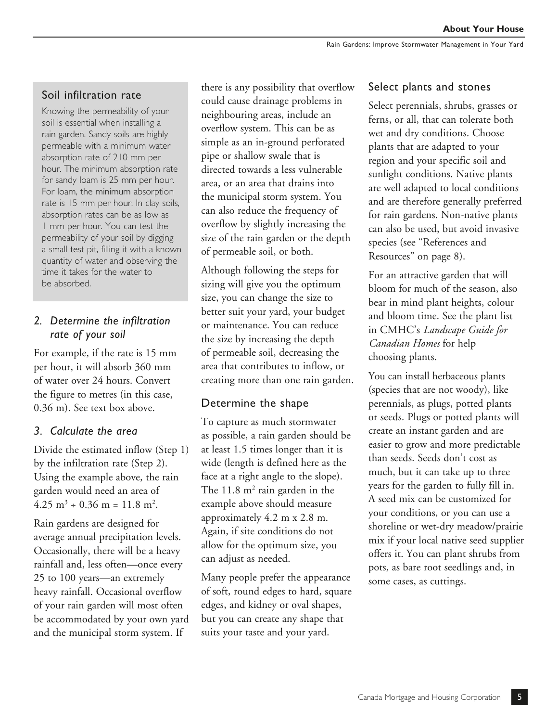## Soil infiltration rate

Knowing the permeability of your soil is essential when installing a rain garden. Sandy soils are highly permeable with a minimum water absorption rate of 210 mm per hour. The minimum absorption rate for sandy loam is 25 mm per hour. For loam, the minimum absorption rate is 15 mm per hour. In clay soils, absorption rates can be as low as 1 mm per hour. You can test the permeability of your soil by digging a small test pit, filling it with a known quantity of water and observing the time it takes for the water to be absorbed.

## *2. Determine the infiltration rate of your soil*

For example, if the rate is 15 mm per hour, it will absorb 360 mm of water over 24 hours. Convert the figure to metres (in this case, 0.36 m). See text box above.

## *3. Calculate the area*

 Divide the estimated inflow (Step 1) by the infiltration rate (Step 2). Using the example above, the rain garden would need an area of  $4.25 \text{ m}^3 \div 0.36 \text{ m} = 11.8 \text{ m}^2$ .

Rain gardens are designed for average annual precipitation levels. Occasionally, there will be a heavy rainfall and, less often—once every 25 to 100 years—an extremely heavy rainfall. Occasional overflow of your rain garden will most often be accommodated by your own yard and the municipal storm system. If

there is any possibility that overflow could cause drainage problems in neighbouring areas, include an overflow system. This can be as simple as an in-ground perforated pipe or shallow swale that is directed towards a less vulnerable area, or an area that drains into the municipal storm system. You can also reduce the frequency of overflow by slightly increasing the size of the rain garden or the depth of permeable soil, or both.

Although following the steps for sizing will give you the optimum size, you can change the size to better suit your yard, your budget or maintenance. You can reduce the size by increasing the depth of permeable soil, decreasing the area that contributes to inflow, or creating more than one rain garden.

## Determine the shape

To capture as much stormwater as possible, a rain garden should be at least 1.5 times longer than it is wide (length is defined here as the face at a right angle to the slope). The  $11.8 \text{ m}^2$  rain garden in the example above should measure approximately 4.2 m x 2.8 m. Again, if site conditions do not allow for the optimum size, you can adjust as needed.

Many people prefer the appearance of soft, round edges to hard, square edges, and kidney or oval shapes, but you can create any shape that suits your taste and your yard.

### Select plants and stones

Select perennials, shrubs, grasses or ferns, or all, that can tolerate both wet and dry conditions. Choose plants that are adapted to your region and your specific soil and sunlight conditions. Native plants are well adapted to local conditions and are therefore generally preferred for rain gardens. Non-native plants can also be used, but avoid invasive species (see "References and Resources" on page 8).

For an attractive garden that will bloom for much of the season, also bear in mind plant heights, colour and bloom time. See the plant list in CMHC's *Landscape Guide for Canadian Homes* for help choosing plants.

You can install herbaceous plants (species that are not woody), like perennials, as plugs, potted plants or seeds. Plugs or potted plants will create an instant garden and are easier to grow and more predictable than seeds. Seeds don't cost as much, but it can take up to three years for the garden to fully fill in. A seed mix can be customized for your conditions, or you can use a shoreline or wet-dry meadow/prairie mix if your local native seed supplier offers it. You can plant shrubs from pots, as bare root seedlings and, in some cases, as cuttings.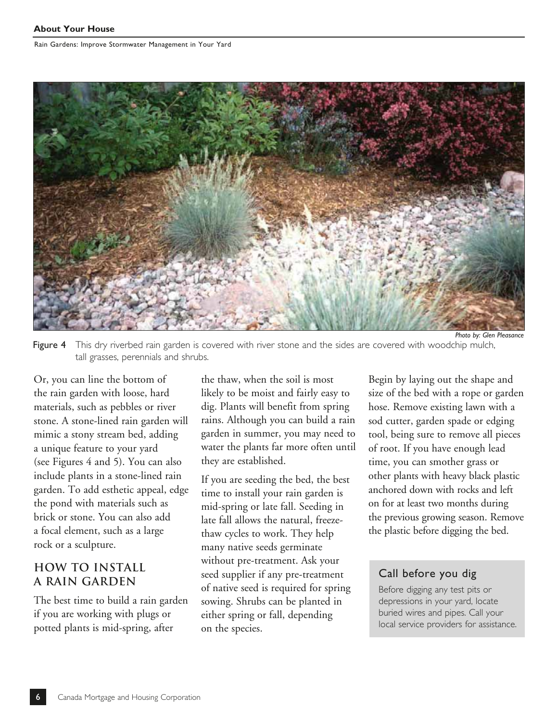

Figure 4 This dry riverbed rain garden is covered with river stone and the sides are covered with woodchip mulch, tall grasses, perennials and shrubs.

Or, you can line the bottom of the rain garden with loose, hard materials, such as pebbles or river stone. A stone-lined rain garden will mimic a stony stream bed, adding a unique feature to your yard (see Figures 4 and 5). You can also include plants in a stone-lined rain garden. To add esthetic appeal, edge the pond with materials such as brick or stone. You can also add a focal element, such as a large rock or a sculpture.

## **HOW TO INSTALL A RAIN GARDEN**

The best time to build a rain garden if you are working with plugs or potted plants is mid-spring, after

the thaw, when the soil is most likely to be moist and fairly easy to dig. Plants will benefit from spring rains. Although you can build a rain garden in summer, you may need to water the plants far more often until they are established.

If you are seeding the bed, the best time to install your rain garden is mid-spring or late fall. Seeding in late fall allows the natural, freezethaw cycles to work. They help many native seeds germinate without pre-treatment. Ask your seed supplier if any pre-treatment of native seed is required for spring sowing. Shrubs can be planted in either spring or fall, depending on the species.

Begin by laying out the shape and size of the bed with a rope or garden hose. Remove existing lawn with a sod cutter, garden spade or edging tool, being sure to remove all pieces of root. If you have enough lead time, you can smother grass or other plants with heavy black plastic anchored down with rocks and left on for at least two months during the previous growing season. Remove the plastic before digging the bed.

## Call before you dig

Before digging any test pits or depressions in your yard, locate buried wires and pipes. Call your local service providers for assistance.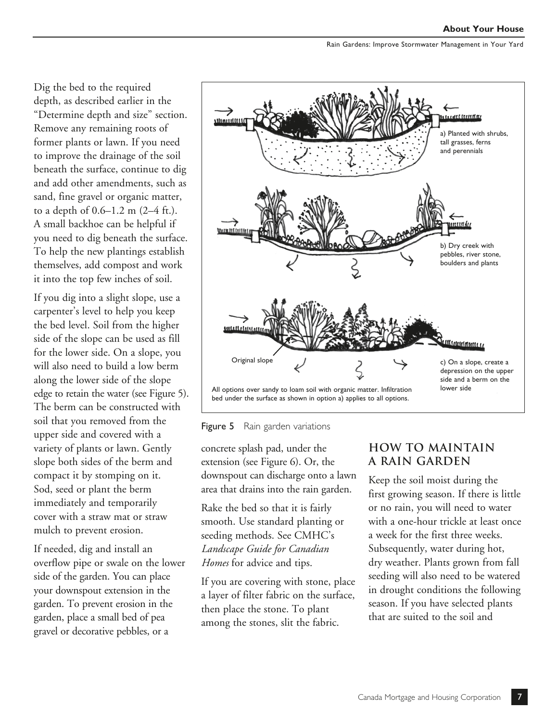Dig the bed to the required depth, as described earlier in the "Determine depth and size" section. Remove any remaining roots of former plants or lawn. If you need to improve the drainage of the soil beneath the surface, continue to dig and add other amendments, such as sand, fine gravel or organic matter, to a depth of 0.6–1.2 m (2–4 ft.). A small backhoe can be helpful if you need to dig beneath the surface. To help the new plantings establish themselves, add compost and work it into the top few inches of soil.

If you dig into a slight slope, use a carpenter's level to help you keep the bed level. Soil from the higher side of the slope can be used as fill for the lower side. On a slope, you will also need to build a low berm along the lower side of the slope edge to retain the water (see Figure 5). The berm can be constructed with soil that you removed from the upper side and covered with a variety of plants or lawn. Gently slope both sides of the berm and compact it by stomping on it. Sod, seed or plant the berm immediately and temporarily cover with a straw mat or straw mulch to prevent erosion.

If needed, dig and install an overflow pipe or swale on the lower side of the garden. You can place your downspout extension in the garden. To prevent erosion in the garden, place a small bed of pea gravel or decorative pebbles, or a





concrete splash pad, under the extension (see Figure 6). Or, the downspout can discharge onto a lawn area that drains into the rain garden.

Rake the bed so that it is fairly smooth. Use standard planting or seeding methods. See CMHC's *Landscape Guide for Canadian Homes* for advice and tips.

If you are covering with stone, place a layer of filter fabric on the surface, then place the stone. To plant among the stones, slit the fabric.

## **HOW TO MAINTAIN A RAIN GARDEN**

Keep the soil moist during the first growing season. If there is little or no rain, you will need to water with a one-hour trickle at least once a week for the first three weeks. Subsequently, water during hot, dry weather. Plants grown from fall seeding will also need to be watered in drought conditions the following season. If you have selected plants that are suited to the soil and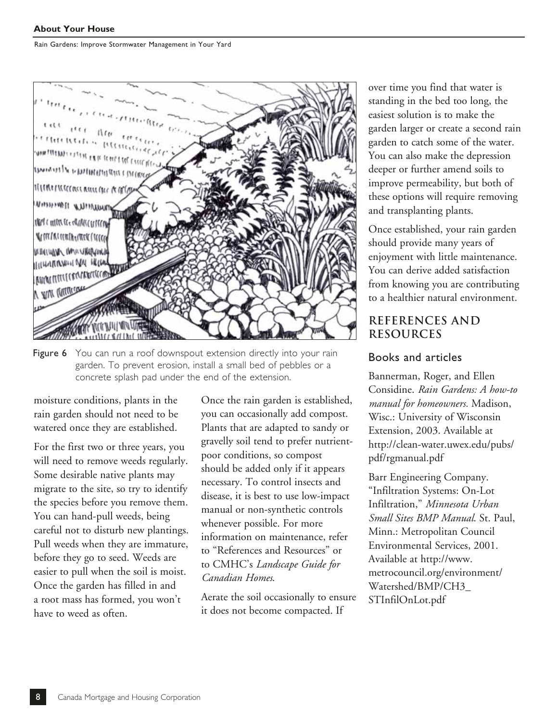

Figure 6 You can run a roof downspout extension directly into your rain garden. To prevent erosion, install a small bed of pebbles or a concrete splash pad under the end of the extension.

moisture conditions, plants in the rain garden should not need to be watered once they are established.

For the first two or three years, you will need to remove weeds regularly. Some desirable native plants may migrate to the site, so try to identify the species before you remove them. You can hand-pull weeds, being careful not to disturb new plantings. Pull weeds when they are immature, before they go to seed. Weeds are easier to pull when the soil is moist. Once the garden has filled in and a root mass has formed, you won't have to weed as often.

Once the rain garden is established, you can occasionally add compost. Plants that are adapted to sandy or gravelly soil tend to prefer nutrientpoor conditions, so compost should be added only if it appears necessary. To control insects and disease, it is best to use low-impact manual or non-synthetic controls whenever possible. For more information on maintenance, refer to "References and Resources" or to CMHC's *Landscape Guide for Canadian Homes*.

Aerate the soil occasionally to ensure it does not become compacted. If

over time you find that water is standing in the bed too long, the easiest solution is to make the garden larger or create a second rain garden to catch some of the water. You can also make the depression deeper or further amend soils to improve permeability, but both of these options will require removing and transplanting plants.

Once established, your rain garden should provide many years of enjoyment with little maintenance. You can derive added satisfaction from knowing you are contributing to a healthier natural environment.

## **REFERENCES AND RESOURCES**

#### Books and articles

Bannerman, Roger, and Ellen Considine. *Rain Gardens: A how-to manual for homeowners.* Madison, Wisc.: University of Wisconsin Extension, 2003. Available at [http://clean-water.uwex.edu/pubs/](http://clean-water.uwex.edu/pubs/pdf/rgmanual.pdf) pdf/rgmanual.pdf

Barr Engineering Company. "Infiltration Systems: On-Lot Infiltration," *Minnesota Urban Small Sites BMP Manual*. St. Paul, Minn.: Metropolitan Council Environmental Services, 2001. Available at http://www. [metrocouncil.org/environment/](http://www.metrocouncil.org/environment/Watershed/BMP/CH3_STInfilOnLot.pdf) Watershed/BMP/CH3\_ STInfilOnLot.pdf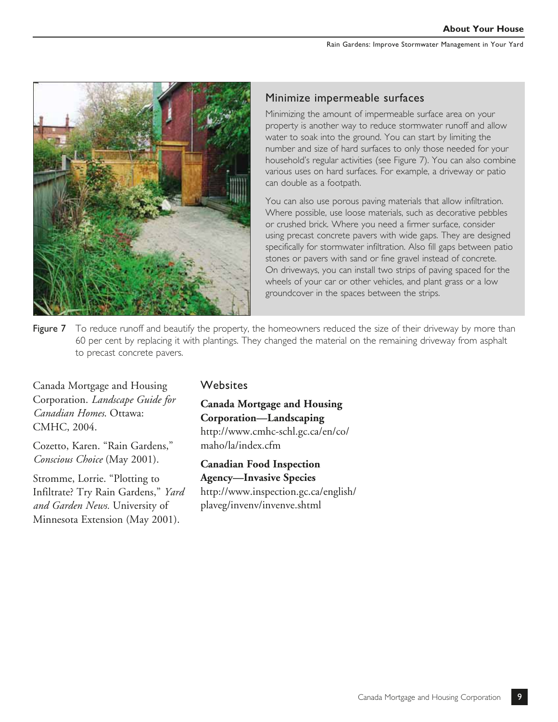

### Minimize impermeable surfaces

Minimizing the amount of impermeable surface area on your property is another way to reduce stormwater runoff and allow water to soak into the ground. You can start by limiting the number and size of hard surfaces to only those needed for your household's regular activities (see Figure 7). You can also combine various uses on hard surfaces. For example, a driveway or patio can double as a footpath.

You can also use porous paving materials that allow infiltration. Where possible, use loose materials, such as decorative pebbles or crushed brick. Where you need a firmer surface, consider using precast concrete pavers with wide gaps. They are designed specifically for stormwater infiltration. Also fill gaps between patio stones or pavers with sand or fine gravel instead of concrete. On driveways, you can install two strips of paving spaced for the wheels of your car or other vehicles, and plant grass or a low groundcover in the spaces between the strips.

Figure 7 To reduce runoff and beautify the property, the homeowners reduced the size of their driveway by more than 60 per cent by replacing it with plantings. They changed the material on the remaining driveway from asphalt to precast concrete pavers.

Canada Mortgage and Housing Corporation. *Landscape Guide for Canadian Homes*. Ottawa: CMHC, 2004.

Cozetto, Karen. "Rain Gardens," *Conscious Choice* (May 2001).

Stromme, Lorrie. "Plotting to Infiltrate? Try Rain Gardens," *Yard and Garden News.* University of Minnesota Extension (May 2001).

#### **Websites**

**Canada Mortgage and Housing Corporation—Landscaping** [http://www.cmhc-schl.gc.ca/en/co/](http://www.cmhc-schl.gc.ca/en/co/maho/la/index.cfm) maho/la/index.cfm

**Canadian Food Inspection Agency—Invasive Species**

[http://www.inspection.gc.ca/english/](http://www.inspection.gc.ca/english/plaveg/invenv/invenve.shtml) plaveg/invenv/invenve.shtml